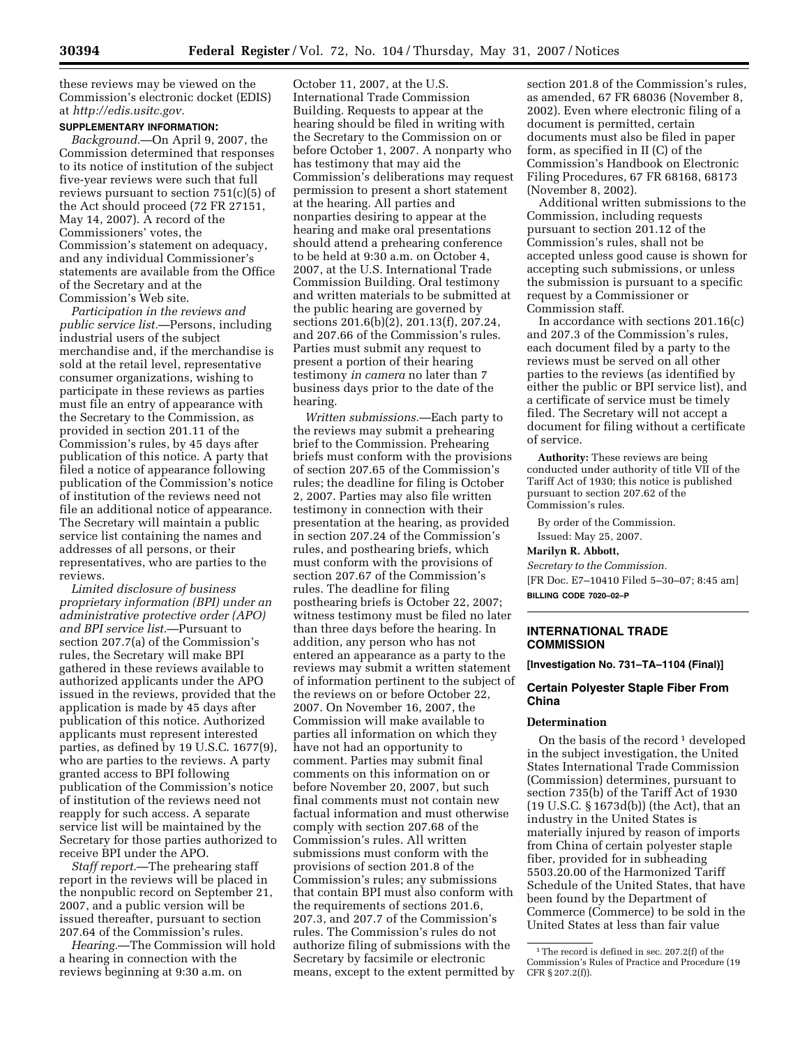these reviews may be viewed on the Commission's electronic docket (EDIS) at *http://edis.usitc.gov.* 

# **SUPPLEMENTARY INFORMATION:**

*Background.*—On April 9, 2007, the Commission determined that responses to its notice of institution of the subject five-year reviews were such that full reviews pursuant to section  $751(c)(5)$  of the Act should proceed (72 FR 27151, May 14, 2007). A record of the Commissioners' votes, the Commission's statement on adequacy, and any individual Commissioner's statements are available from the Office of the Secretary and at the Commission's Web site.

*Participation in the reviews and public service list.*—Persons, including industrial users of the subject merchandise and, if the merchandise is sold at the retail level, representative consumer organizations, wishing to participate in these reviews as parties must file an entry of appearance with the Secretary to the Commission, as provided in section 201.11 of the Commission's rules, by 45 days after publication of this notice. A party that filed a notice of appearance following publication of the Commission's notice of institution of the reviews need not file an additional notice of appearance. The Secretary will maintain a public service list containing the names and addresses of all persons, or their representatives, who are parties to the reviews.

*Limited disclosure of business proprietary information (BPI) under an administrative protective order (APO) and BPI service list.*—Pursuant to section 207.7(a) of the Commission's rules, the Secretary will make BPI gathered in these reviews available to authorized applicants under the APO issued in the reviews, provided that the application is made by 45 days after publication of this notice. Authorized applicants must represent interested parties, as defined by 19 U.S.C. 1677(9), who are parties to the reviews. A party granted access to BPI following publication of the Commission's notice of institution of the reviews need not reapply for such access. A separate service list will be maintained by the Secretary for those parties authorized to receive BPI under the APO.

*Staff report.*—The prehearing staff report in the reviews will be placed in the nonpublic record on September 21, 2007, and a public version will be issued thereafter, pursuant to section 207.64 of the Commission's rules.

*Hearing.*—The Commission will hold a hearing in connection with the reviews beginning at 9:30 a.m. on

October 11, 2007, at the U.S. International Trade Commission Building. Requests to appear at the hearing should be filed in writing with the Secretary to the Commission on or before October 1, 2007. A nonparty who has testimony that may aid the Commission's deliberations may request permission to present a short statement at the hearing. All parties and nonparties desiring to appear at the hearing and make oral presentations should attend a prehearing conference to be held at 9:30 a.m. on October 4, 2007, at the U.S. International Trade Commission Building. Oral testimony and written materials to be submitted at the public hearing are governed by sections 201.6(b)(2), 201.13(f), 207.24, and 207.66 of the Commission's rules. Parties must submit any request to present a portion of their hearing testimony *in camera* no later than 7 business days prior to the date of the hearing.

*Written submissions.*—Each party to the reviews may submit a prehearing brief to the Commission. Prehearing briefs must conform with the provisions of section 207.65 of the Commission's rules; the deadline for filing is October 2, 2007. Parties may also file written testimony in connection with their presentation at the hearing, as provided in section 207.24 of the Commission's rules, and posthearing briefs, which must conform with the provisions of section 207.67 of the Commission's rules. The deadline for filing posthearing briefs is October 22, 2007; witness testimony must be filed no later than three days before the hearing. In addition, any person who has not entered an appearance as a party to the reviews may submit a written statement of information pertinent to the subject of the reviews on or before October 22, 2007. On November 16, 2007, the Commission will make available to parties all information on which they have not had an opportunity to comment. Parties may submit final comments on this information on or before November 20, 2007, but such final comments must not contain new factual information and must otherwise comply with section 207.68 of the Commission's rules. All written submissions must conform with the provisions of section 201.8 of the Commission's rules; any submissions that contain BPI must also conform with the requirements of sections 201.6, 207.3, and 207.7 of the Commission's rules. The Commission's rules do not authorize filing of submissions with the Secretary by facsimile or electronic means, except to the extent permitted by

section 201.8 of the Commission's rules, as amended, 67 FR 68036 (November 8, 2002). Even where electronic filing of a document is permitted, certain documents must also be filed in paper form, as specified in II (C) of the Commission's Handbook on Electronic Filing Procedures, 67 FR 68168, 68173 (November 8, 2002).

Additional written submissions to the Commission, including requests pursuant to section 201.12 of the Commission's rules, shall not be accepted unless good cause is shown for accepting such submissions, or unless the submission is pursuant to a specific request by a Commissioner or Commission staff.

In accordance with sections 201.16(c) and 207.3 of the Commission's rules, each document filed by a party to the reviews must be served on all other parties to the reviews (as identified by either the public or BPI service list), and a certificate of service must be timely filed. The Secretary will not accept a document for filing without a certificate of service.

**Authority:** These reviews are being conducted under authority of title VII of the Tariff Act of 1930; this notice is published pursuant to section 207.62 of the Commission's rules.

By order of the Commission. Issued: May 25, 2007.

### **Marilyn R. Abbott,**

*Secretary to the Commission.*  [FR Doc. E7–10410 Filed 5–30–07; 8:45 am] **BILLING CODE 7020–02–P** 

### **INTERNATIONAL TRADE COMMISSION**

**[Investigation No. 731–TA–1104 (Final)]** 

## **Certain Polyester Staple Fiber From China**

### **Determination**

On the basis of the record<sup>1</sup> developed in the subject investigation, the United States International Trade Commission (Commission) determines, pursuant to section 735(b) of the Tariff Act of 1930 (19 U.S.C. § 1673d(b)) (the Act), that an industry in the United States is materially injured by reason of imports from China of certain polyester staple fiber, provided for in subheading 5503.20.00 of the Harmonized Tariff Schedule of the United States, that have been found by the Department of Commerce (Commerce) to be sold in the United States at less than fair value

 $^{\rm 1}\!$  The record is defined in sec. 207.2(f) of the Commission's Rules of Practice and Procedure (19 CFR § 207.2(f)).